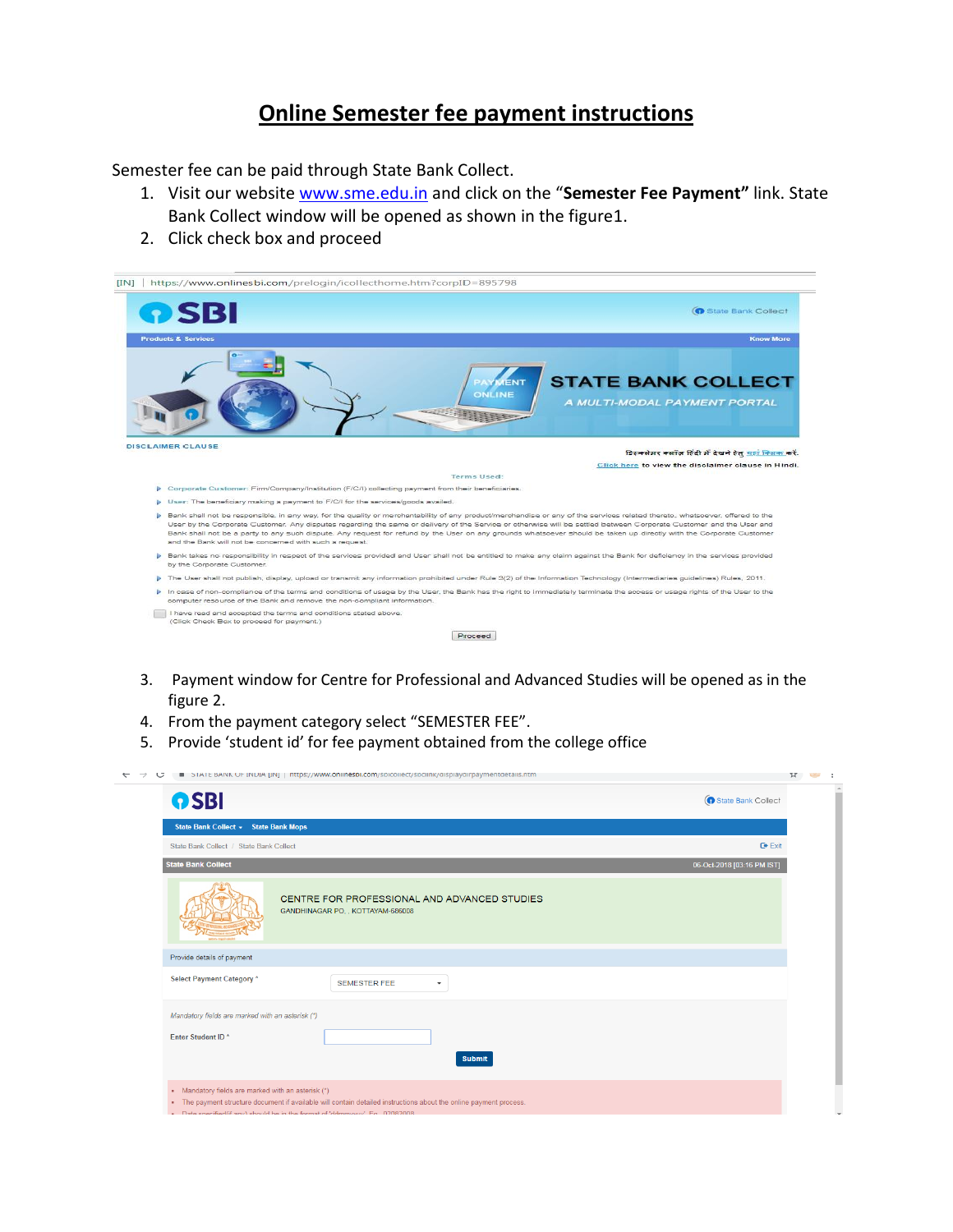## **Online Semester fee payment instructions**

Semester fee can be paid through State Bank Collect.

- 1. Visit our website [www.sme.edu.in](http://www.sme.edu.in/) and click on the "**Semester Fee Payment"** link. State Bank Collect window will be opened as shown in the figure1.
- 2. Click check box and proceed

|                                | <b>n</b> SBI<br>State Bank Collect                                                                                                                                                                                                                                                                                                                                                                                                                                                                                                                                                     |
|--------------------------------|----------------------------------------------------------------------------------------------------------------------------------------------------------------------------------------------------------------------------------------------------------------------------------------------------------------------------------------------------------------------------------------------------------------------------------------------------------------------------------------------------------------------------------------------------------------------------------------|
| <b>Products &amp; Services</b> | <b>Know More</b>                                                                                                                                                                                                                                                                                                                                                                                                                                                                                                                                                                       |
|                                | <b>STATE BANK COLLECT</b><br><b>MENT</b><br>ONLINE<br>A MULTI-MODAL PAYMENT PORTAL                                                                                                                                                                                                                                                                                                                                                                                                                                                                                                     |
| <b>DISCLAIMER CLAUSE</b>       | डिस्क्लेसर क्लॉज़ हिंदी में देखने हेतु यहां क्लिक करें.                                                                                                                                                                                                                                                                                                                                                                                                                                                                                                                                |
|                                | Click here to view the disclaimer clause in Hindi.                                                                                                                                                                                                                                                                                                                                                                                                                                                                                                                                     |
|                                | Terms Used:                                                                                                                                                                                                                                                                                                                                                                                                                                                                                                                                                                            |
|                                | > Corporate Customer: Firm/Company/Institution (F/C/I) collecting payment from their beneficiaries.                                                                                                                                                                                                                                                                                                                                                                                                                                                                                    |
|                                | > User: The beneficiary making a payment to F/C/I for the services/goods availed.                                                                                                                                                                                                                                                                                                                                                                                                                                                                                                      |
|                                | > Bank shall not be responsible, in any way, for the quality or merchantability of any product/merchandise or any of the services related thereto, whatsoever, offered to the<br>User by the Corporate Customer. Any disputes regarding the same or delivery of the Service or otherwise will be settled between Corporate Customer and the User and<br>Bank shall not be a party to any such dispute. Any request for refund by the User on any grounds whatsoever should be taken up directly with the Corporate Customer<br>and the Bank will not be concerned with such a request. |
|                                | Bank takes no responsibility in respect of the services provided and User shall not be entitled to make any claim against the Bank for deficiency in the services provided<br>by the Corporate Customer.                                                                                                                                                                                                                                                                                                                                                                               |
|                                | The User shall not publish, display, upload or transmit any information prohibited under Rule 3(2) of the Information Technology (Intermediaries guidelines) Rules, 2011.                                                                                                                                                                                                                                                                                                                                                                                                              |
|                                | In case of non-compliance of the terms and conditions of usage by the User, the Bank has the right to immediately terminate the access or usage rights of the User to the                                                                                                                                                                                                                                                                                                                                                                                                              |
| Đ.                             | computer resource of the Bank and remove the non-compliant information.                                                                                                                                                                                                                                                                                                                                                                                                                                                                                                                |

- 3. Payment window for Centre for Professional and Advanced Studies will be opened as in the figure 2.
- 4. From the payment category select "SEMESTER FEE".
- 5. Provide 'student id' for fee payment obtained from the college office

|                                                  | STATE DAINN OF INDIA [IN]   https://www.ohiinespi.com/spiconect/spcinik/displaydifpaymentdetails.htm |                             |
|--------------------------------------------------|------------------------------------------------------------------------------------------------------|-----------------------------|
| <b>OSBI</b>                                      |                                                                                                      | <b>G</b> State Bank Collect |
| State Bank Collect - State Bank Mops             |                                                                                                      |                             |
| State Bank Collect / State Bank Collect          |                                                                                                      | $C^*$ Exit                  |
| <b>State Bank Collect</b>                        |                                                                                                      | 06-Oct-2018 [03:16 PM IST]  |
|                                                  | CENTRE FOR PROFESSIONAL AND ADVANCED STUDIES<br>GANDHINAGAR PO, , KOTTAYAM-686008                    |                             |
| Provide details of payment                       |                                                                                                      |                             |
| <b>Select Payment Category *</b>                 | <b>SEMESTER FEE</b><br>۰                                                                             |                             |
| Mandatory fields are marked with an asterisk (*) |                                                                                                      |                             |
| Enter Student ID*                                | <b>Submit</b>                                                                                        |                             |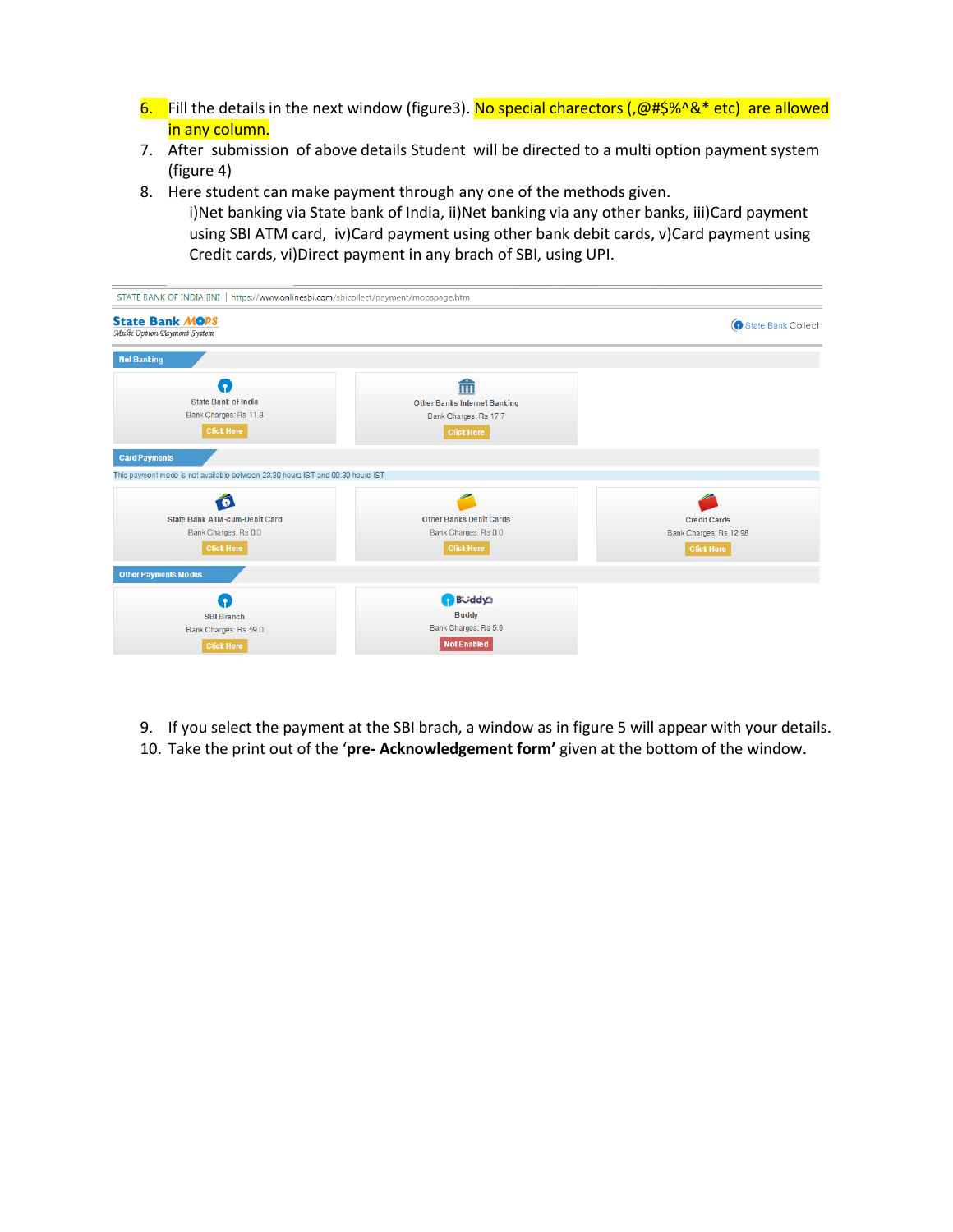- 6. Fill the details in the next window (figure3). No special charectors ( $, @$ #\$%^&\* etc) are allowed in any column.
- 7. After submission of above details Student will be directed to a multi option payment system (figure 4)
- 8. Here student can make payment through any one of the methods given. i)Net banking via State bank of India, ii)Net banking via any other banks, iii)Card payment using SBI ATM card, iv)Card payment using other bank debit cards, v)Card payment using Credit cards, vi)Direct payment in any brach of SBI, using UPI.

| STATE BANK OF INDIA [IN]   https://www.onlinesbi.com/sbicollect/payment/mopspage.htm |                                     |                        |
|--------------------------------------------------------------------------------------|-------------------------------------|------------------------|
| <b>State Bank MOPS</b><br>Multi Option Payment System                                |                                     | State Bank Collect     |
| <b>Net Banking</b>                                                                   |                                     |                        |
| a                                                                                    | 而                                   |                        |
| <b>State Bank of India</b>                                                           | <b>Other Banks Internet Banking</b> |                        |
| Bank Charges: Rs 11.8                                                                | Bank Charges: Rs 17.7               |                        |
| <b>Click Here</b>                                                                    | <b>Click Here</b>                   |                        |
| <b>Card Payments</b>                                                                 |                                     |                        |
| This payment mode is not available between 23:30 hours IST and 00:30 hours IST       |                                     |                        |
|                                                                                      |                                     |                        |
| State Bank ATM-cum-Debit Card                                                        | <b>Other Banks Debit Cards</b>      | <b>Credit Cards</b>    |
| Bank Charges: Rs 0.0                                                                 | Bank Charges: Rs 0.0                | Bank Charges: Rs 12.98 |
| <b>Click Here</b>                                                                    | <b>Click Here</b>                   | <b>Click Here</b>      |
| <b>Other Payments Modes</b>                                                          |                                     |                        |
| . 9                                                                                  | <b>B</b> uddya                      |                        |
| <b>SBI Branch</b>                                                                    | <b>Buddy</b>                        |                        |
| Bank Charges: Rs 59.0                                                                | Bank Charges: Rs 5.9                |                        |
| <b>Click Here</b>                                                                    | <b>Not Enabled</b>                  |                        |

- 9. If you select the payment at the SBI brach, a window as in figure 5 will appear with your details.
- 10. Take the print out of the '**pre- Acknowledgement form'** given at the bottom of the window.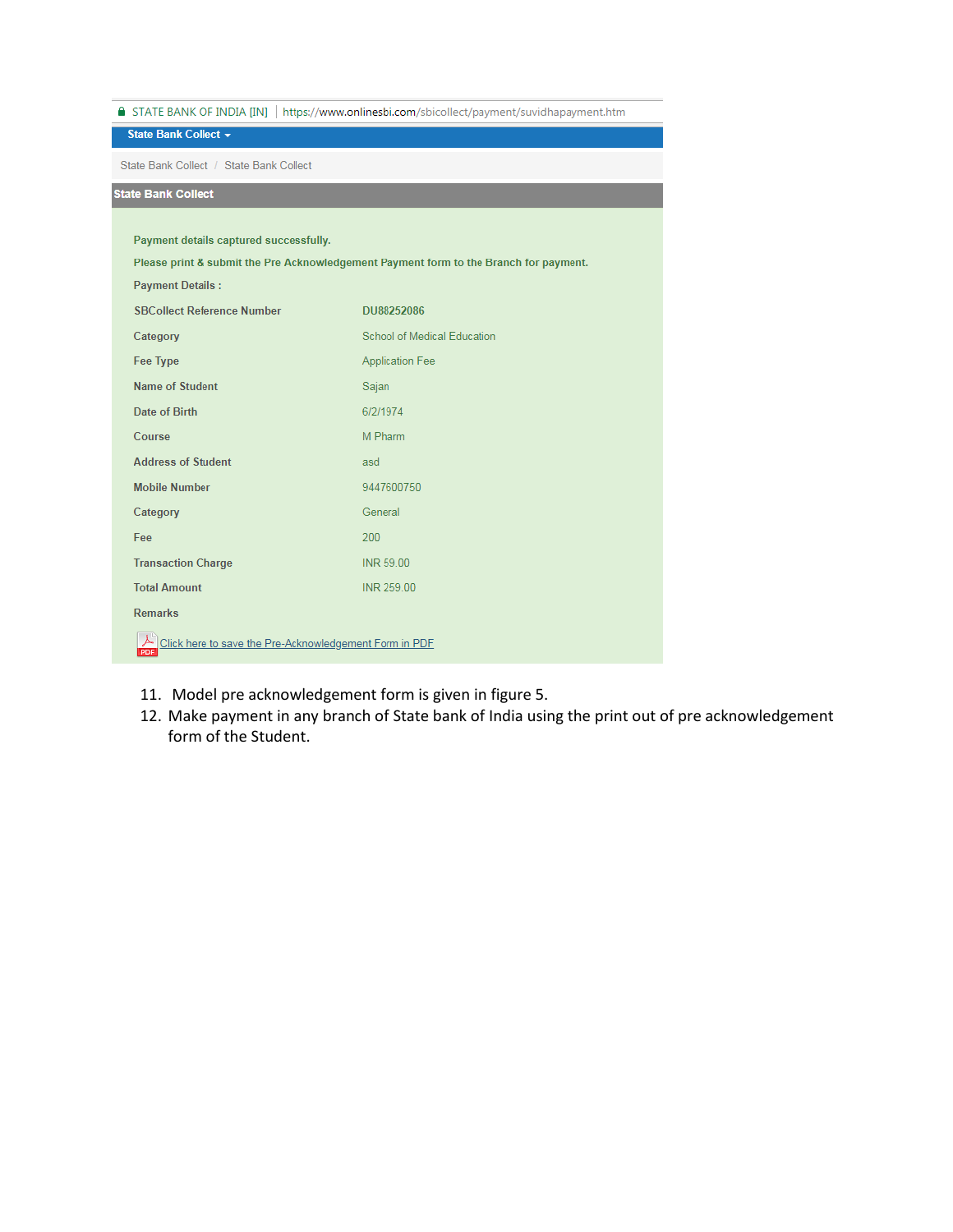|                                                                                       | ■ STATE BANK OF INDIA [IN]   https://www.onlinesbi.com/sbicollect/payment/suvidhapayment.htm |  |  |  |  |  |  |
|---------------------------------------------------------------------------------------|----------------------------------------------------------------------------------------------|--|--|--|--|--|--|
| State Bank Collect +                                                                  |                                                                                              |  |  |  |  |  |  |
| State Bank Collect / State Bank Collect                                               |                                                                                              |  |  |  |  |  |  |
| <b>State Bank Collect</b>                                                             |                                                                                              |  |  |  |  |  |  |
|                                                                                       |                                                                                              |  |  |  |  |  |  |
| Payment details captured successfully.                                                |                                                                                              |  |  |  |  |  |  |
| Please print & submit the Pre Acknowledgement Payment form to the Branch for payment. |                                                                                              |  |  |  |  |  |  |
| <b>Payment Details:</b>                                                               |                                                                                              |  |  |  |  |  |  |
| <b>SBCollect Reference Number</b>                                                     | DU88252086                                                                                   |  |  |  |  |  |  |
| Category                                                                              | School of Medical Education                                                                  |  |  |  |  |  |  |
| <b>Fee Type</b>                                                                       | <b>Application Fee</b>                                                                       |  |  |  |  |  |  |
| <b>Name of Student</b>                                                                | Sajan                                                                                        |  |  |  |  |  |  |
| Date of Birth                                                                         | 6/2/1974                                                                                     |  |  |  |  |  |  |
| Course                                                                                | M Pharm                                                                                      |  |  |  |  |  |  |
| <b>Address of Student</b>                                                             | asd                                                                                          |  |  |  |  |  |  |
| <b>Mobile Number</b>                                                                  | 9447600750                                                                                   |  |  |  |  |  |  |
| Category                                                                              | General                                                                                      |  |  |  |  |  |  |
| Fee                                                                                   | 200                                                                                          |  |  |  |  |  |  |
| <b>Transaction Charge</b>                                                             | INR 59.00                                                                                    |  |  |  |  |  |  |
| <b>Total Amount</b>                                                                   | INR 259.00                                                                                   |  |  |  |  |  |  |
| <b>Remarks</b>                                                                        |                                                                                              |  |  |  |  |  |  |
| Click here to save the Pre-Acknowledgement Form in PDF<br>PDF                         |                                                                                              |  |  |  |  |  |  |

- 11. Model pre acknowledgement form is given in figure 5.
- 12. Make payment in any branch of State bank of India using the print out of pre acknowledgement form of the Student.